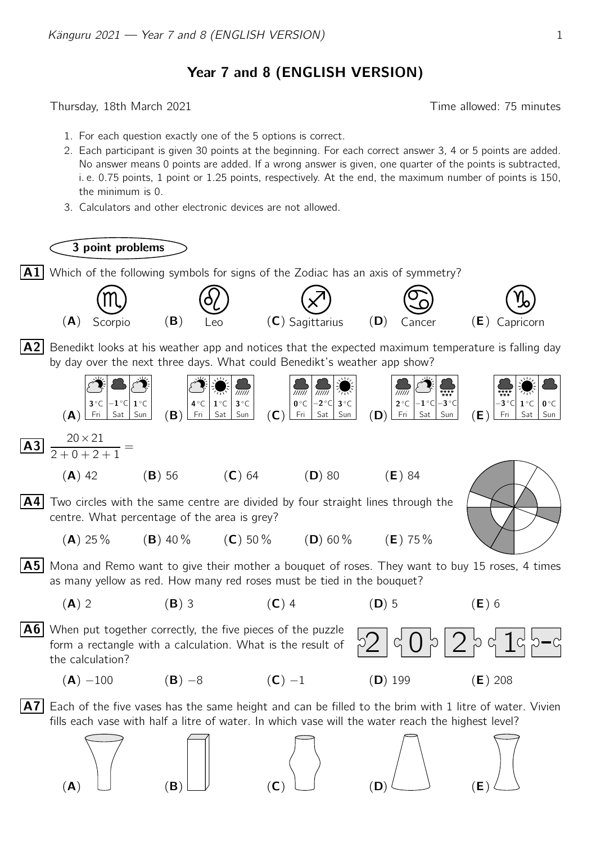Year 7 and 8 (ENGLISH VERSION)

Thursday, 18th March 2021 **Thursday**, 18th March 2021

- 1. For each question exactly one of the 5 options is correct.
- 2. Each participant is given 30 points at the beginning. For each correct answer 3, 4 or 5 points are added. No answer means 0 points are added. If a wrong answer is given, one quarter of the points is subtracted, i. e. 0.75 points, 1 point or 1.25 points, respectively. At the end, the maximum number of points is 150, the minimum is 0.
- 3. Calculators and other electronic devices are not allowed.

3 point problems

 $\vert {\sf A1}\vert$  Which of the following symbols for signs of the Zodiac has an axis of symmetry?

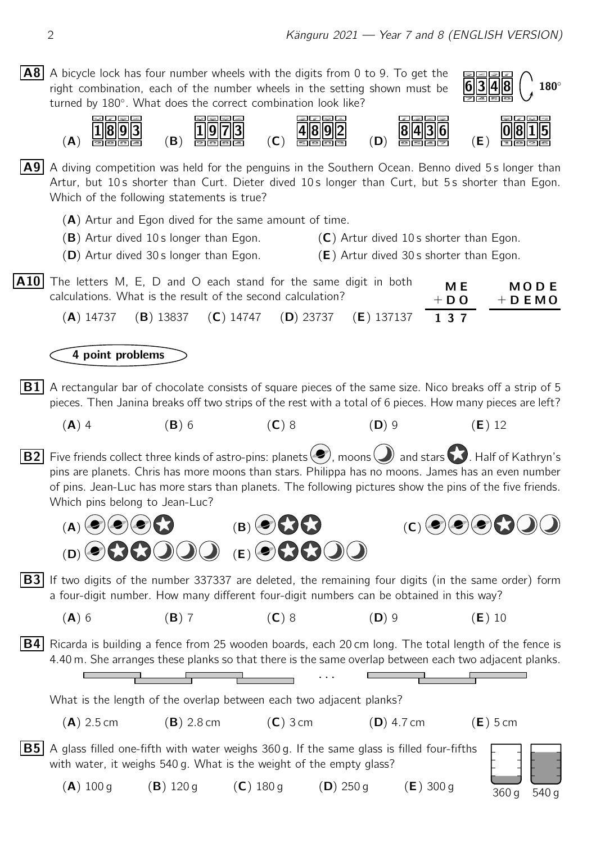A8 A bicycle lock has four number wheels with the digits from 0 to 9. To get the  $180^\circ$ right combination, each of the number wheels in the setting shown must be turned by 180°. What does the correct combination look like?  $\omega$   $\mathbb{Z}$   $\omega$   $\mathbb{Z}$  $\mathbb{E}[\mathbb{E}[\mathbf{z}][\mathbf{z}][\mathbf{z}]]$  $\omega$  as  $\omega$   $\approx$ 因因因因 **alma**  $1$ ||8||9||3  $|8||4||3||6$ |1 ||9 ||7 |4||8||9| 8 IO (A) (B)  $(C)$ (D) (E)  $\vert A9\vert$  A diving competition was held for the penguins in the Southern Ocean. Benno dived 5s longer than Artur, but 10s shorter than Curt. Dieter dived 10s longer than Curt, but 5s shorter than Egon. Which of the following statements is true? (A) Artur and Egon dived for the same amount of time.  $(B)$  Artur dived 10 s longer than Egon.  $(C)$  Artur dived 10 s shorter than Egon. **(D)** Artur dived 30 s longer than Egon. **(E)** Artur dived 30 s shorter than Egon.  $\overline{A10}$  The letters M, E, D and O each stand for the same digit in both  $M \to M$ M O D E calculations. What is the result of the second calculation?  $+$  D O  $+$  D E M O (A) 14737 (B) 13837 (C) 14747 (D) 23737 (E) 137137 1 3 7 4 point problems  $|\mathbf{B1}|$  A rectangular bar of chocolate consists of square pieces of the same size. Nico breaks off a strip of 5 pieces. Then Janina breaks off two strips of the rest with a total of 6 pieces. How many pieces are left? (A) 4 (B) 6 (C) 8 (D) 9 (E) 12 **B2** Five friends collect three kinds of astro-pins: planets  $\left($ , moons  $\right)$  and stars  $\left($ , Half of Kathryn's pins are planets. Chris has more moons than stars. Philippa has no moons. James has an even number of pins. Jean-Luc has more stars than planets. The following pictures show the pins of the five friends. Which pins belong to Jean-Luc?  $(A) \bullet \bullet \bullet \bullet$  (B)  $(A) \bullet \bullet \bullet$  (C)  $(A) \bullet \bullet \bullet$  $(D)$  (e)  $(2)$   $(D)$   $(D)$   $(E)$  (e)  $(2)$   $(2)$   $(D)$  $|B3|$  If two digits of the number 337337 are deleted, the remaining four digits (in the same order) form a four-digit number. How many different four-digit numbers can be obtained in this way? (A) 6 (B) 7 (C) 8 (D) 9 (E) 10 **B4** Ricarda is building a fence from 25 wooden boards, each 20 cm long. The total length of the fence is 4.40 m. She arranges these planks so that there is the same overlap between each two adjacent planks. · · · What is the length of the overlap between each two adjacent planks?  $(A)$  2.5 cm  $(B)$  2.8 cm  $(C)$  3 cm  $(D)$  4.7 cm  $(E)$  5 cm  $\overline{\mathbf{B5}}\vert$  A glass filled one-fifth with water weighs 360 g. If the same glass is filled four-fifths with water, it weighs 540 g. What is the weight of the empty glass?

360 g 540 g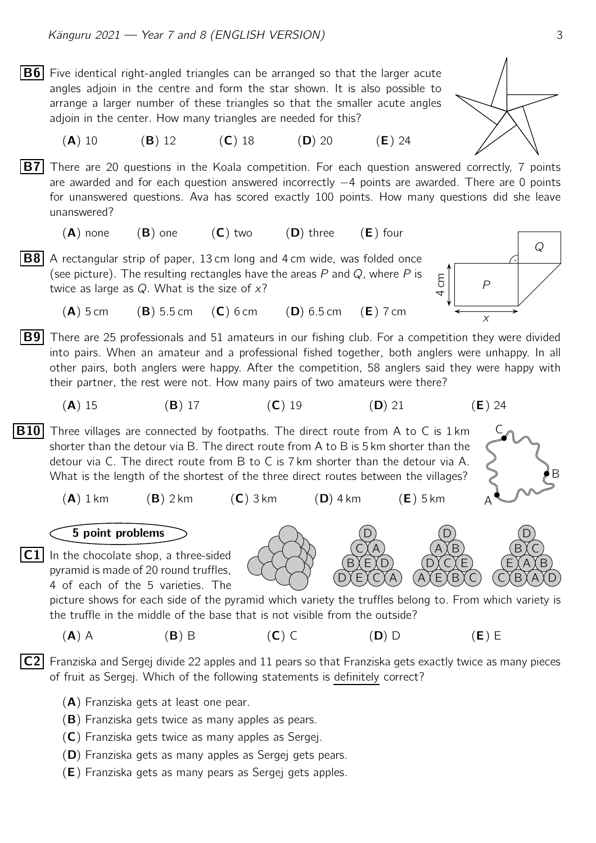- **B6** Five identical right-angled triangles can be arranged so that the larger acute angles adjoin in the centre and form the star shown. It is also possible to arrange a larger number of these triangles so that the smaller acute angles adjoin in the center. How many triangles are needed for this?
	- (**A**) 10 (**B**) 12 (**C**) 18 (**D**) 20 (**E**) 24
- **B7** There are 20 questions in the Koala competition. For each question answered correctly, 7 points are awarded and for each question answered incorrectly −4 points are awarded. There are 0 points for unanswered questions. Ava has scored exactly 100 points. How many questions did she leave unanswered?
	- $(A)$  none  $(B)$  one  $(C)$  two  $(D)$  three  $(E)$  four
- **B8** A rectangular strip of paper, 13 cm long and 4 cm wide, was folded once (see picture). The resulting rectangles have the areas  $P$  and  $Q$ , where  $P$  is twice as large as  $Q$ . What is the size of  $x$ ?
	- $(A)$  5 cm (B) 5.5 cm (C) 6 cm (D) 6.5 cm (E) 7 cm
- **B9** There are 25 professionals and 51 amateurs in our fishing club. For a competition they were divided into pairs. When an amateur and a professional fished together, both anglers were unhappy. In all other pairs, both anglers were happy. After the competition, 58 anglers said they were happy with their partner, the rest were not. How many pairs of two amateurs were there?
	- (A) 15 (B) 17 (C) 19 (D) 21 (E) 24
- **B10** Three villages are connected by footpaths. The direct route from A to C is 1 km shorter than the detour via B. The direct route from A to B is 5 km shorter than the detour via C. The direct route from B to C is 7 km shorter than the detour via A. What is the length of the shortest of the three direct routes between the villages?
	- $(A)$  1 km  $(B)$  2 km  $(C)$  3 km  $(D)$  4 km  $(E)$  5 km

## 5 point problems

 $\overline{C1}$  In the chocolate shop, a three-sided pyramid is made of 20 round truffles, 4 of each of the 5 varieties. The

> picture shows for each side of the pyramid which variety the truffles belong to. From which variety is the truffle in the middle of the base that is not visible from the outside?

D)(E)(C)(A B∑E∑D  $C <sub>A</sub>$ D

 $(A)$  A (B) B (C) C (D) D (E) E

 $|C2|$  Franziska and Sergej divide 22 apples and 11 pears so that Franziska gets exactly twice as many pieces of fruit as Sergej. Which of the following statements is definitely correct?

- $(A)$  Franziska gets at least one pear.
- (B) Franziska gets twice as many apples as pears.
- (C) Franziska gets twice as many apples as Sergej.
- (D) Franziska gets as many apples as Sergej gets pears.
- (E) Franziska gets as many pears as Sergej gets apples.



P

 $5<sup>2</sup>$ 

A X E X B X C D)(C){E A≬B D

x





 $\mathcal{Q}$ 



 $C(XB)(A)(D$ E <u>X</u>A X B  $\mathsf{B}\mathsf{X}\mathsf{C}$ D